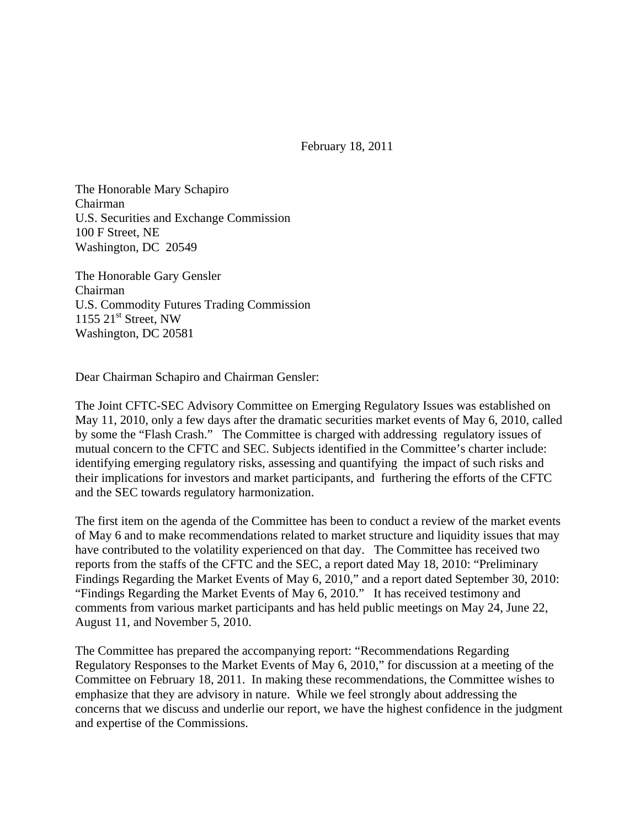February 18, 2011

The Honorable Mary Schapiro Chairman U.S. Securities and Exchange Commission 100 F Street, NE Washington, DC 20549

The Honorable Gary Gensler Chairman U.S. Commodity Futures Trading Commission  $1155$   $21<sup>st</sup>$  Street, NW Washington, DC 20581

Dear Chairman Schapiro and Chairman Gensler:

The Joint CFTC-SEC Advisory Committee on Emerging Regulatory Issues was established on May 11, 2010, only a few days after the dramatic securities market events of May 6, 2010, called by some the "Flash Crash." The Committee is charged with addressing regulatory issues of mutual concern to the CFTC and SEC. Subjects identified in the Committee's charter include: identifying emerging regulatory risks, assessing and quantifying the impact of such risks and their implications for investors and market participants, and furthering the efforts of the CFTC and the SEC towards regulatory harmonization.

The first item on the agenda of the Committee has been to conduct a review of the market events of May 6 and to make recommendations related to market structure and liquidity issues that may have contributed to the volatility experienced on that day. The Committee has received two reports from the staffs of the CFTC and the SEC, a report dated May 18, 2010: "Preliminary Findings Regarding the Market Events of May 6, 2010," and a report dated September 30, 2010: "Findings Regarding the Market Events of May 6, 2010." It has received testimony and comments from various market participants and has held public meetings on May 24, June 22, August 11, and November 5, 2010.

The Committee has prepared the accompanying report: "Recommendations Regarding Regulatory Responses to the Market Events of May 6, 2010," for discussion at a meeting of the Committee on February 18, 2011. In making these recommendations, the Committee wishes to emphasize that they are advisory in nature. While we feel strongly about addressing the concerns that we discuss and underlie our report, we have the highest confidence in the judgment and expertise of the Commissions.